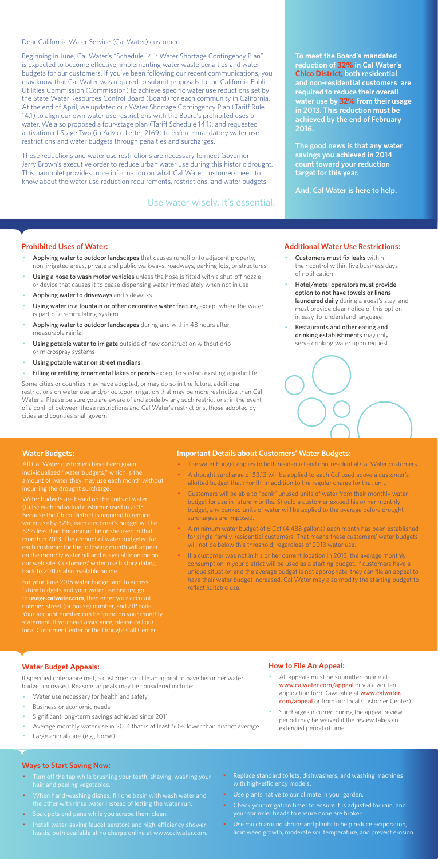Dear California Water Service (Cal Water) customer:

Beginning in June, Cal Water's "Schedule 14.1: Water Shortage Contingency Plan" is expected to become effective, implementing water waste penalties and water budgets for our customers. If you've been following our recent communications, you may know that Cal Water was required to submit proposals to the California Public Utilities Commission (Commission) to achieve specific water use reductions set by the State Water Resources Control Board (Board) for each community in California. At the end of April, we updated our Water Shortage Contingency Plan (Tariff Rule 14.1) to align our own water use restrictions with the Board's prohibited uses of water. We also proposed a four-stage plan (Tariff Schedule 14.1), and requested activation of Stage Two (in Advice Letter 2169) to enforce mandatory water use restrictions and water budgets through penalties and surcharges.

These reductions and water use restrictions are necessary to meet Governor Jerry Brown's executive order to reduce urban water use during this historic drought. This pamphlet provides more information on what Cal Water customers need to know about the water use reduction requirements, restrictions, and water budgets.

#### **Prohibited Uses of Water:**

- Applying water to outdoor landscapes that causes runoff onto adjacent property, non-irrigated areas, private and public walkways, roadways, parking lots, or structures
- Using a hose to wash motor vehicles unless the hose is fitted with a shut-off nozzle or device that causes it to cease dispensing water immediately when not in use
- Applying water to driveways and sidewalks
- Using water in a fountain or other decorative water feature, except where the water is part of a recirculating system
- Applying water to outdoor landscapes during and within 48 hours after measurable rainfall
- Using potable water to irrigate outside of new construction without drip or microspray systems
- Using potable water on street medians
- Filling or refilling ornamental lakes or ponds except to sustain existing aquatic life
- Customers must fix leaks within their control within five business days of notification
- Hotel/motel operators must provide option to not have towels or linens laundered daily during a guest's stay, and must provide clear notice of this option in easy-to-understand language
- Restaurants and other eating and drinking establishments may only serve drinking water upon request



- All appeals must be submitted online at www.calwater.com/appeal or via a written application form (available at www.calwater. com/appeal or from our local Customer Center).
- · Surcharges incurred during the appeal review period may be waived if the review takes an extended period of time.

Some cities or counties may have adopted, or may do so in the future, additional restrictions on water use and/or outdoor irrigation that may be more restrictive than Cal Water's. Please be sure you are aware of and abide by any such restrictions; in the event of a conflict between those restrictions and Cal Water's restrictions, those adopted by cities and counties shall govern.

- Turn off the tap while brushing your teeth, shaving, washing your hair, and peeling vegetables.
- · When hand-washing dishes, fill one basin with wash water and the other with rinse water instead of letting the water run.
- · Soak pots and pans while you scrape them clean.
- · Install water-saving faucet aerators and high-efficiency showerheads, both available at no charge online at www.calwater.com.
- Replace standard toilets, dishwashers, and washing machines with high-efficiency models.
- · Use plants native to our climate in your garden.
- Check your irrigation timer to ensure it is adjusted for rain, and your sprinkler heads to ensure none are broken.
- · Use mulch around shrubs and plants to help reduce evaporation, limit weed growth, moderate soil temperature, and prevent erosion.

**To meet the Board's mandated reduction of 32% in Cal Water's Chico District, both residential and non-residential customers are required to reduce their overall water use by 32% from their usage in 2013. This reduction must be achieved by the end of February 2016.** 

**The good news is that any water savings you achieved in 2014 count toward your reduction target for this year.** 

**And, Cal Water is here to help.** 

#### **Additional Water Use Restrictions:**

## **Water Budget Appeals:**

If specified criteria are met, a customer can file an appeal to have his or her water budget increased. Reasons appeals may be considered include:

- Water use necessary for health and safety
- Business or economic needs
- Significant long-term savings achieved since 2011
- Average monthly water use in 2014 that is at least 50% lower than district average
- Large animal care (e.g., horse)

If a customer was not in his or her current location in 2013, the average monthly consumption in your district will be used as a starting budget. If customers have a unique situation and the average budget is not appropriate, they can file an appeal to have their water budget increased. Cal Water may also modify the starting budget to reflect suitable use.

## **How to File An Appeal:**

#### **Ways to Start Saving Now:**

Use water wisely. It's essential.

#### **Water Budgets:**

individualized "water budgets," which is the incurring the drought surcharge.

Water budgets are based on the units of water (Ccfs) each individual customer used in 2013. Because the Chico District is required to reduce water use by 32%, each customer's budget will be month in 2013. The amount of water budgeted for each customer for the following month will appea on the monthly water bill and is available online on

For your June 2015 water budget and to access future budgets and your water use history, go to **usage.calwater.com**, then enter your account number, street (or house) number, and ZIP code. local Customer Center or the Drought Call Center.

#### **Important Details about Customers' Water Budgets:**

- · The water budget applies to both residential and non-residential Cal Water customers.
- · A drought surcharge of \$3.13 will be applied to each Ccf used above a customer's allotted budget that month, in addition to the regular charge for that unit.
- · Customers will be able to "bank" unused units of water from their monthly water budget for use in future months. Should a customer exceed his or her monthly budget, any banked units of water will be applied to the overage before drought surcharges are imposed.
- · A minimum water budget of 6 Ccf (4,488 gallons) each month has been established for single-family, residential customers. That means these customers' water budgets will not be below this threshold, regardless of 2013 water use.